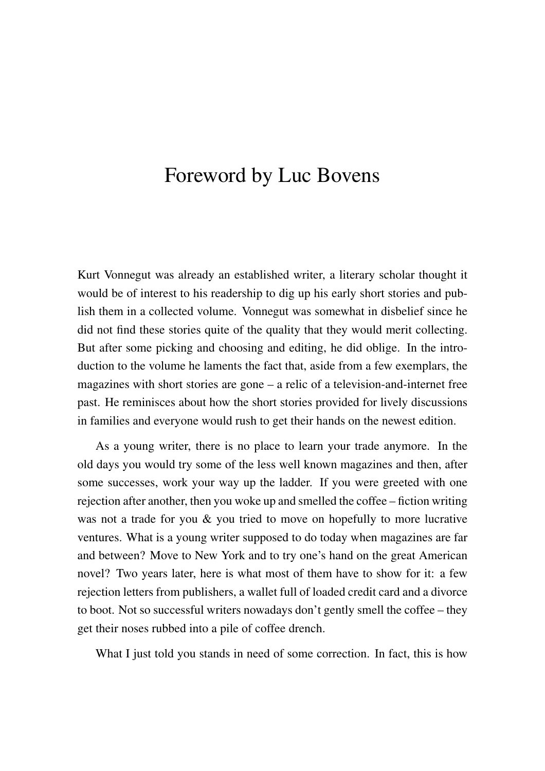## Foreword by Luc Bovens

Kurt Vonnegut was already an established writer, a literary scholar thought it would be of interest to his readership to dig up his early short stories and publish them in a collected volume. Vonnegut was somewhat in disbelief since he did not find these stories quite of the quality that they would merit collecting. But after some picking and choosing and editing, he did oblige. In the introduction to the volume he laments the fact that, aside from a few exemplars, the magazines with short stories are gone – a relic of a television-and-internet free past. He reminisces about how the short stories provided for lively discussions in families and everyone would rush to get their hands on the newest edition.

As a young writer, there is no place to learn your trade anymore. In the old days you would try some of the less well known magazines and then, after some successes, work your way up the ladder. If you were greeted with one rejection after another, then you woke up and smelled the coffee – fiction writing was not a trade for you  $\&$  you tried to move on hopefully to more lucrative ventures. What is a young writer supposed to do today when magazines are far and between? Move to New York and to try one's hand on the great American novel? Two years later, here is what most of them have to show for it: a few rejection letters from publishers, a wallet full of loaded credit card and a divorce to boot. Not so successful writers nowadays don't gently smell the coffee – they get their noses rubbed into a pile of coffee drench.

What I just told you stands in need of some correction. In fact, this is how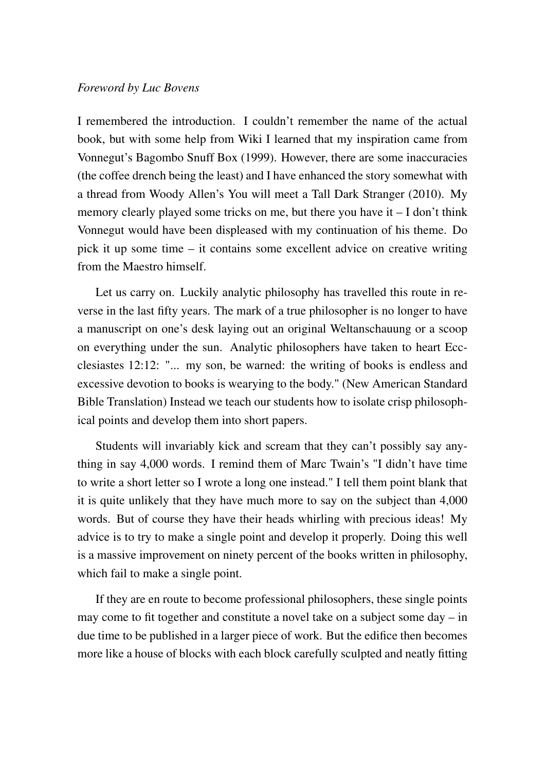## *Foreword by Luc Bovens*

I remembered the introduction. I couldn't remember the name of the actual book, but with some help from Wiki I learned that my inspiration came from Vonnegut's Bagombo Snuff Box (1999). However, there are some inaccuracies (the coffee drench being the least) and I have enhanced the story somewhat with a thread from Woody Allen's You will meet a Tall Dark Stranger (2010). My memory clearly played some tricks on me, but there you have  $it - I$  don't think Vonnegut would have been displeased with my continuation of his theme. Do pick it up some time – it contains some excellent advice on creative writing from the Maestro himself.

Let us carry on. Luckily analytic philosophy has travelled this route in reverse in the last fifty years. The mark of a true philosopher is no longer to have a manuscript on one's desk laying out an original Weltanschauung or a scoop on everything under the sun. Analytic philosophers have taken to heart Eccclesiastes 12:12: "... my son, be warned: the writing of books is endless and excessive devotion to books is wearying to the body." (New American Standard Bible Translation) Instead we teach our students how to isolate crisp philosophical points and develop them into short papers.

Students will invariably kick and scream that they can't possibly say anything in say 4,000 words. I remind them of Marc Twain's "I didn't have time to write a short letter so I wrote a long one instead." I tell them point blank that it is quite unlikely that they have much more to say on the subject than 4,000 words. But of course they have their heads whirling with precious ideas! My advice is to try to make a single point and develop it properly. Doing this well is a massive improvement on ninety percent of the books written in philosophy, which fail to make a single point.

If they are en route to become professional philosophers, these single points may come to fit together and constitute a novel take on a subject some day – in due time to be published in a larger piece of work. But the edifice then becomes more like a house of blocks with each block carefully sculpted and neatly fitting